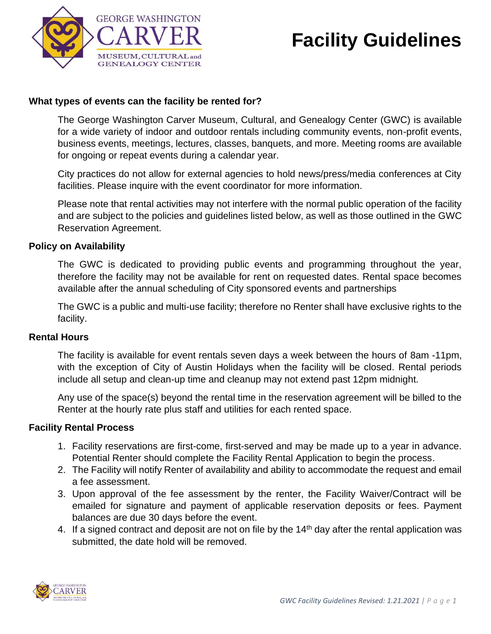

# **Facility Guidelines**

# **What types of events can the facility be rented for?**

The George Washington Carver Museum, Cultural, and Genealogy Center (GWC) is available for a wide variety of indoor and outdoor rentals including community events, non-profit events, business events, meetings, lectures, classes, banquets, and more. Meeting rooms are available for ongoing or repeat events during a calendar year.

City practices do not allow for external agencies to hold news/press/media conferences at City facilities. Please inquire with the event coordinator for more information.

Please note that rental activities may not interfere with the normal public operation of the facility and are subject to the policies and guidelines listed below, as well as those outlined in the GWC Reservation Agreement.

## **Policy on Availability**

The GWC is dedicated to providing public events and programming throughout the year, therefore the facility may not be available for rent on requested dates. Rental space becomes available after the annual scheduling of City sponsored events and partnerships

The GWC is a public and multi-use facility; therefore no Renter shall have exclusive rights to the facility.

#### **Rental Hours**

The facility is available for event rentals seven days a week between the hours of 8am -11pm, with the exception of City of Austin Holidays when the facility will be closed. Rental periods include all setup and clean-up time and cleanup may not extend past 12pm midnight.

Any use of the space(s) beyond the rental time in the reservation agreement will be billed to the Renter at the hourly rate plus staff and utilities for each rented space.

#### **Facility Rental Process**

- 1. Facility reservations are first-come, first-served and may be made up to a year in advance. Potential Renter should complete the Facility Rental Application to begin the process.
- 2. The Facility will notify Renter of availability and ability to accommodate the request and email a fee assessment.
- 3. Upon approval of the fee assessment by the renter, the Facility Waiver/Contract will be emailed for signature and payment of applicable reservation deposits or fees. Payment balances are due 30 days before the event.
- 4. If a signed contract and deposit are not on file by the 14<sup>th</sup> day after the rental application was submitted, the date hold will be removed.

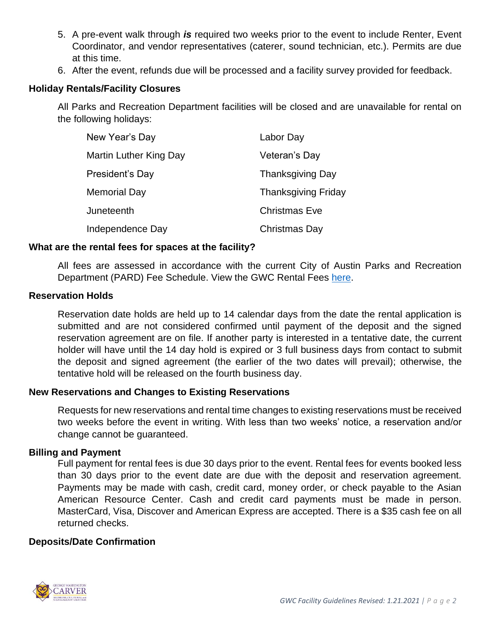- 5. A pre-event walk through *is* required two weeks prior to the event to include Renter, Event Coordinator, and vendor representatives (caterer, sound technician, etc.). Permits are due at this time.
- 6. After the event, refunds due will be processed and a facility survey provided for feedback.

## **Holiday Rentals/Facility Closures**

All Parks and Recreation Department facilities will be closed and are unavailable for rental on the following holidays:

| New Year's Day         | Labor Day                  |
|------------------------|----------------------------|
| Martin Luther King Day | Veteran's Day              |
| President's Day        | <b>Thanksgiving Day</b>    |
| Memorial Day           | <b>Thanksgiving Friday</b> |
| Juneteenth             | <b>Christmas Eve</b>       |
| Independence Day       | <b>Christmas Day</b>       |

## **What are the rental fees for spaces at the facility?**

All fees are assessed in accordance with the current City of Austin Parks and Recreation Department (PARD) Fee Schedule. View the GWC Rental Fees [here.](http://austintexas.gov/sites/default/files/files/Parks/AARC/Rentals/FY21%20Rental%20Fees.pdf)

## **Reservation Holds**

Reservation date holds are held up to 14 calendar days from the date the rental application is submitted and are not considered confirmed until payment of the deposit and the signed reservation agreement are on file. If another party is interested in a tentative date, the current holder will have until the 14 day hold is expired or 3 full business days from contact to submit the deposit and signed agreement (the earlier of the two dates will prevail); otherwise, the tentative hold will be released on the fourth business day.

## **New Reservations and Changes to Existing Reservations**

Requests for new reservations and rental time changes to existing reservations must be received two weeks before the event in writing. With less than two weeks' notice, a reservation and/or change cannot be guaranteed.

#### **Billing and Payment**

Full payment for rental fees is due 30 days prior to the event. Rental fees for events booked less than 30 days prior to the event date are due with the deposit and reservation agreement. Payments may be made with cash, credit card, money order, or check payable to the Asian American Resource Center. Cash and credit card payments must be made in person. MasterCard, Visa, Discover and American Express are accepted. There is a \$35 cash fee on all returned checks.

#### **Deposits/Date Confirmation**

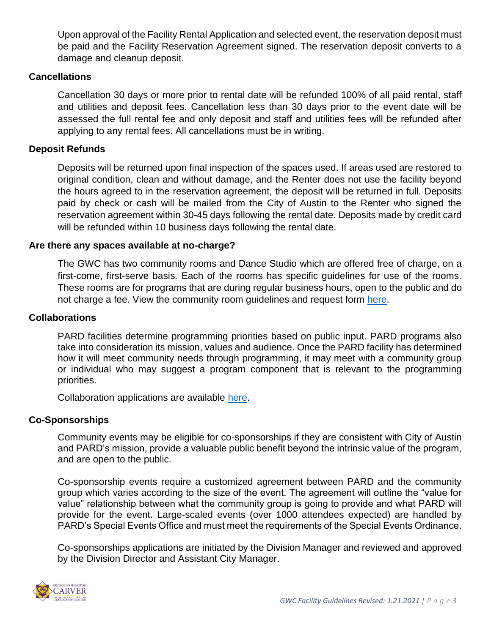Upon approval of the Facility Rental Application and selected event, the reservation deposit must be paid and the Facility Reservation Agreement signed. The reservation deposit converts to a damage and cleanup deposit.

## **Cancellations**

Cancellation 30 days or more prior to rental date will be refunded 100% of all paid rental, staff and utilities and deposit fees. Cancellation less than 30 days prior to the event date will be assessed the full rental fee and only deposit and staff and utilities fees will be refunded after applying to any rental fees. All cancellations must be in writing.

## **Deposit Refunds**

Deposits will be returned upon final inspection of the spaces used. If areas used are restored to original condition, clean and without damage, and the Renter does not use the facility beyond the hours agreed to in the reservation agreement, the deposit will be returned in full. Deposits paid by check or cash will be mailed from the City of Austin to the Renter who signed the reservation agreement within 30-45 days following the rental date. Deposits made by credit card will be refunded within 10 business days following the rental date.

#### **Are there any spaces available at no-charge?**

The GWC has two community rooms and Dance Studio which are offered free of charge, on a first-come, first-serve basis. Each of the rooms has specific guidelines for use of the rooms. These rooms are for programs that are during regular business hours, open to the public and do not charge a fee. View the community room guidelines and request form [here.](http://austintexas.gov/sites/default/files/files/Parks/AARC/Rentals/AARC_Community_Room_Request_Form_Updated_Oct_2017.pdf)

#### **Collaborations**

PARD facilities determine programming priorities based on public input. PARD programs also take into consideration its mission, values and audience. Once the PARD facility has determined how it will meet community needs through programming, it may meet with a community group or individual who may suggest a program component that is relevant to the programming priorities.

Collaboration applications are available [here.](http://austintexas.gov/sites/default/files/files/Parks/AARC/Forms/AARC%20Collaboration%20Request%20Fillable%20(Updated%2002142020)%20(2).pdf)

# **Co-Sponsorships**

Community events may be eligible for co-sponsorships if they are consistent with City of Austin and PARD's mission, provide a valuable public benefit beyond the intrinsic value of the program, and are open to the public.

Co-sponsorship events require a customized agreement between PARD and the community group which varies according to the size of the event. The agreement will outline the "value for value" relationship between what the community group is going to provide and what PARD will provide for the event. Large-scaled events (over 1000 attendees expected) are handled by PARD's Special Events Office and must meet the requirements of the Special Events Ordinance.

Co-sponsorships applications are initiated by the Division Manager and reviewed and approved by the Division Director and Assistant City Manager.

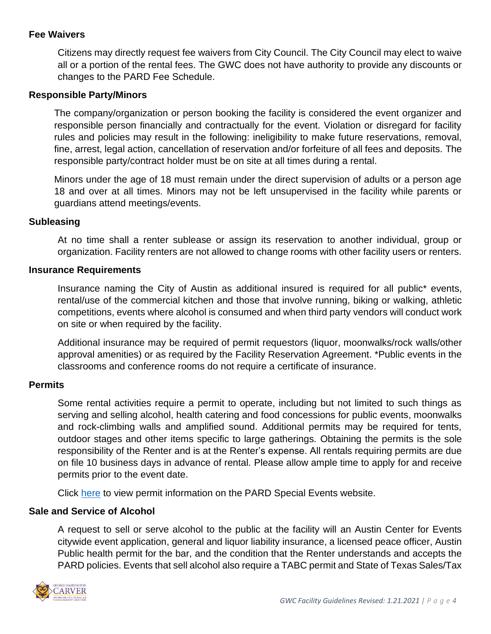# **Fee Waivers**

Citizens may directly request fee waivers from City Council. The City Council may elect to waive all or a portion of the rental fees. The GWC does not have authority to provide any discounts or changes to the PARD Fee Schedule.

## **Responsible Party/Minors**

The company/organization or person booking the facility is considered the event organizer and responsible person financially and contractually for the event. Violation or disregard for facility rules and policies may result in the following: ineligibility to make future reservations, removal, fine, arrest, legal action, cancellation of reservation and/or forfeiture of all fees and deposits. The responsible party/contract holder must be on site at all times during a rental.

Minors under the age of 18 must remain under the direct supervision of adults or a person age 18 and over at all times. Minors may not be left unsupervised in the facility while parents or guardians attend meetings/events.

## **Subleasing**

At no time shall a renter sublease or assign its reservation to another individual, group or organization. Facility renters are not allowed to change rooms with other facility users or renters.

#### **Insurance Requirements**

Insurance naming the City of Austin as additional insured is required for all public\* events, rental/use of the commercial kitchen and those that involve running, biking or walking, athletic competitions, events where alcohol is consumed and when third party vendors will conduct work on site or when required by the facility.

Additional insurance may be required of permit requestors (liquor, moonwalks/rock walls/other approval amenities) or as required by the Facility Reservation Agreement. \*Public events in the classrooms and conference rooms do not require a certificate of insurance.

## **Permits**

Some rental activities require a permit to operate, including but not limited to such things as serving and selling alcohol, health catering and food concessions for public events, moonwalks and rock-climbing walls and amplified sound. Additional permits may be required for tents, outdoor stages and other items specific to large gatherings. Obtaining the permits is the sole responsibility of the Renter and is at the Renter's expense. All rentals requiring permits are due on file 10 business days in advance of rental. Please allow ample time to apply for and receive permits prior to the event date.

Click [here](http://www.austintexas.gov/page/special-events-policies-procedures#concession) to view permit information on the PARD Special Events website.

## **Sale and Service of Alcohol**

A request to sell or serve alcohol to the public at the facility will an Austin Center for Events citywide event application, general and liquor liability insurance, a licensed peace officer, Austin Public health permit for the bar, and the condition that the Renter understands and accepts the PARD policies. Events that sell alcohol also require a TABC permit and State of Texas Sales/Tax

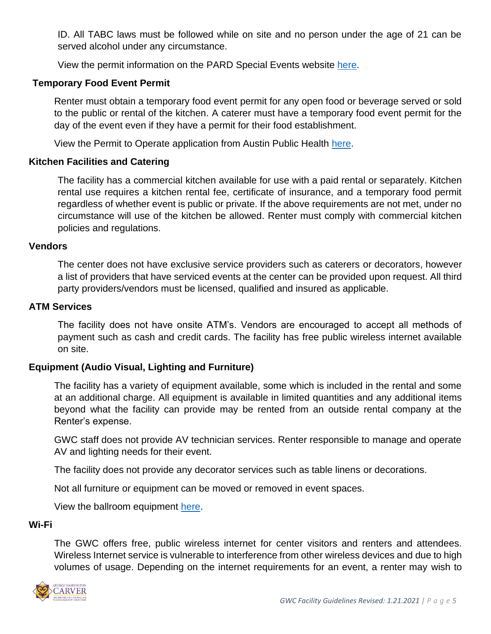ID. All TABC laws must be followed while on site and no person under the age of 21 can be served alcohol under any circumstance.

View the permit information on the PARD Special Events website [here.](http://www.austintexas.gov/page/special-events-policies-procedures#concession)

## **Temporary Food Event Permit**

Renter must obtain a temporary food event permit for any open food or beverage served or sold to the public or rental of the kitchen. A caterer must have a temporary food event permit for the day of the event even if they have a permit for their food establishment.

View the Permit to Operate application from Austin Public Health [here.](http://www.austintexas.gov/department/temporary-food-events)

## **Kitchen Facilities and Catering**

The facility has a commercial kitchen available for use with a paid rental or separately. Kitchen rental use requires a kitchen rental fee, certificate of insurance, and a temporary food permit regardless of whether event is public or private. If the above requirements are not met, under no circumstance will use of the kitchen be allowed. Renter must comply with commercial kitchen policies and regulations.

#### **Vendors**

The center does not have exclusive service providers such as caterers or decorators, however a list of providers that have serviced events at the center can be provided upon request. All third party providers/vendors must be licensed, qualified and insured as applicable.

#### **ATM Services**

The facility does not have onsite ATM's. Vendors are encouraged to accept all methods of payment such as cash and credit cards. The facility has free public wireless internet available on site.

#### **Equipment (Audio Visual, Lighting and Furniture)**

The facility has a variety of equipment available, some which is included in the rental and some at an additional charge. All equipment is available in limited quantities and any additional items beyond what the facility can provide may be rented from an outside rental company at the Renter's expense.

GWC staff does not provide AV technician services. Renter responsible to manage and operate AV and lighting needs for their event.

The facility does not provide any decorator services such as table linens or decorations.

Not all furniture or equipment can be moved or removed in event spaces.

View the ballroom equipment [here.](file:///C:/Users/Reference%20Documents/Equipment/Ballroom%20Equipment.pdf)

#### **Wi-Fi**

The GWC offers free, public wireless internet for center visitors and renters and attendees. Wireless Internet service is vulnerable to interference from other wireless devices and due to high volumes of usage. Depending on the internet requirements for an event, a renter may wish to

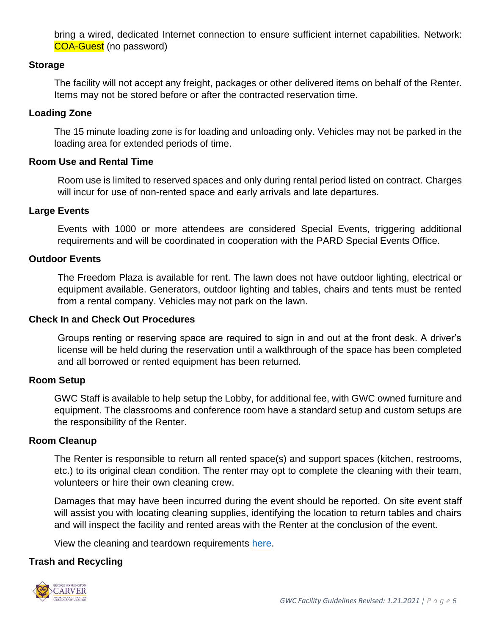bring a wired, dedicated Internet connection to ensure sufficient internet capabilities. Network: COA-Guest (no password)

## **Storage**

The facility will not accept any freight, packages or other delivered items on behalf of the Renter. Items may not be stored before or after the contracted reservation time.

## **Loading Zone**

The 15 minute loading zone is for loading and unloading only. Vehicles may not be parked in the loading area for extended periods of time.

## **Room Use and Rental Time**

Room use is limited to reserved spaces and only during rental period listed on contract. Charges will incur for use of non-rented space and early arrivals and late departures.

## **Large Events**

Events with 1000 or more attendees are considered Special Events, triggering additional requirements and will be coordinated in cooperation with the PARD Special Events Office.

## **Outdoor Events**

The Freedom Plaza is available for rent. The lawn does not have outdoor lighting, electrical or equipment available. Generators, outdoor lighting and tables, chairs and tents must be rented from a rental company. Vehicles may not park on the lawn.

#### **Check In and Check Out Procedures**

Groups renting or reserving space are required to sign in and out at the front desk. A driver's license will be held during the reservation until a walkthrough of the space has been completed and all borrowed or rented equipment has been returned.

#### **Room Setup**

GWC Staff is available to help setup the Lobby, for additional fee, with GWC owned furniture and equipment. The classrooms and conference room have a standard setup and custom setups are the responsibility of the Renter.

#### **Room Cleanup**

The Renter is responsible to return all rented space(s) and support spaces (kitchen, restrooms, etc.) to its original clean condition. The renter may opt to complete the cleaning with their team, volunteers or hire their own cleaning crew.

Damages that may have been incurred during the event should be reported. On site event staff will assist you with locating cleaning supplies, identifying the location to return tables and chairs and will inspect the facility and rented areas with the Renter at the conclusion of the event.

View the cleaning and teardown requirements [here.](file://///coacd.org/dfs/pard/HAND/AARC/Events%20and%20Rentals/Forms%20and%20Permits%20for%20Renters/Post%20Rental%20Inspection%20Checklist.pdf)

## **Trash and Recycling**

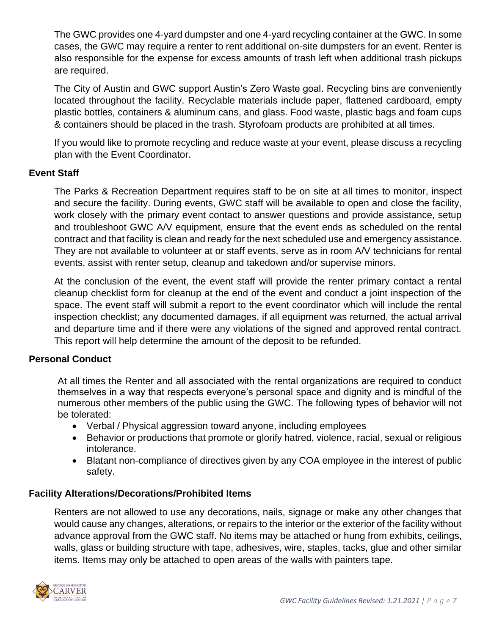The GWC provides one 4-yard dumpster and one 4-yard recycling container at the GWC. In some cases, the GWC may require a renter to rent additional on-site dumpsters for an event. Renter is also responsible for the expense for excess amounts of trash left when additional trash pickups are required.

The City of Austin and GWC support Austin's Zero Waste goal. Recycling bins are conveniently located throughout the facility. Recyclable materials include paper, flattened cardboard, empty plastic bottles, containers & aluminum cans, and glass. Food waste, plastic bags and foam cups & containers should be placed in the trash. Styrofoam products are prohibited at all times.

If you would like to promote recycling and reduce waste at your event, please discuss a recycling plan with the Event Coordinator.

# **Event Staff**

The Parks & Recreation Department requires staff to be on site at all times to monitor, inspect and secure the facility. During events, GWC staff will be available to open and close the facility, work closely with the primary event contact to answer questions and provide assistance, setup and troubleshoot GWC A/V equipment, ensure that the event ends as scheduled on the rental contract and that facility is clean and ready for the next scheduled use and emergency assistance. They are not available to volunteer at or staff events, serve as in room A/V technicians for rental events, assist with renter setup, cleanup and takedown and/or supervise minors.

At the conclusion of the event, the event staff will provide the renter primary contact a rental cleanup checklist form for cleanup at the end of the event and conduct a joint inspection of the space. The event staff will submit a report to the event coordinator which will include the rental inspection checklist; any documented damages, if all equipment was returned, the actual arrival and departure time and if there were any violations of the signed and approved rental contract. This report will help determine the amount of the deposit to be refunded.

# **Personal Conduct**

At all times the Renter and all associated with the rental organizations are required to conduct themselves in a way that respects everyone's personal space and dignity and is mindful of the numerous other members of the public using the GWC. The following types of behavior will not be tolerated:

- Verbal / Physical aggression toward anyone, including employees
- Behavior or productions that promote or glorify hatred, violence, racial, sexual or religious intolerance.
- Blatant non-compliance of directives given by any COA employee in the interest of public safety.

# **Facility Alterations/Decorations/Prohibited Items**

Renters are not allowed to use any decorations, nails, signage or make any other changes that would cause any changes, alterations, or repairs to the interior or the exterior of the facility without advance approval from the GWC staff. No items may be attached or hung from exhibits, ceilings, walls, glass or building structure with tape, adhesives, wire, staples, tacks, glue and other similar items. Items may only be attached to open areas of the walls with painters tape.

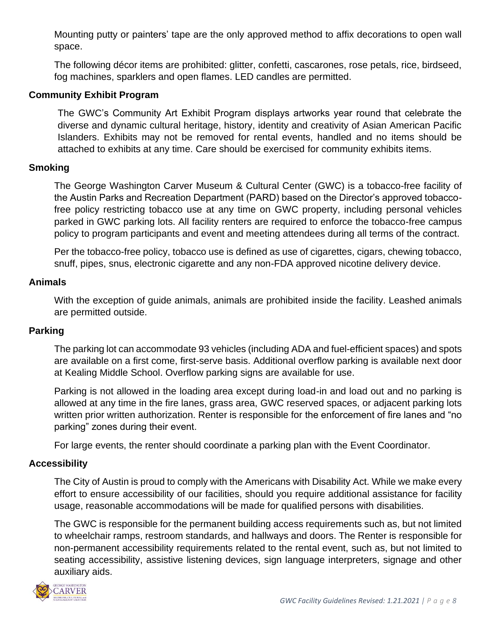Mounting putty or painters' tape are the only approved method to affix decorations to open wall space.

The following décor items are prohibited: glitter, confetti, cascarones, rose petals, rice, birdseed, fog machines, sparklers and open flames. LED candles are permitted.

## **Community Exhibit Program**

The GWC's Community Art Exhibit Program displays artworks year round that celebrate the diverse and dynamic cultural heritage, history, identity and creativity of Asian American Pacific Islanders. Exhibits may not be removed for rental events, handled and no items should be attached to exhibits at any time. Care should be exercised for community exhibits items.

## **Smoking**

The George Washington Carver Museum & Cultural Center (GWC) is a tobacco-free facility of the Austin Parks and Recreation Department (PARD) based on the Director's approved tobaccofree policy restricting tobacco use at any time on GWC property, including personal vehicles parked in GWC parking lots. All facility renters are required to enforce the tobacco-free campus policy to program participants and event and meeting attendees during all terms of the contract.

Per the tobacco-free policy, tobacco use is defined as use of cigarettes, cigars, chewing tobacco, snuff, pipes, snus, electronic cigarette and any non-FDA approved nicotine delivery device.

## **Animals**

With the exception of guide animals, animals are prohibited inside the facility. Leashed animals are permitted outside.

## **Parking**

The parking lot can accommodate 93 vehicles (including ADA and fuel-efficient spaces) and spots are available on a first come, first-serve basis. Additional overflow parking is available next door at Kealing Middle School. Overflow parking signs are available for use.

Parking is not allowed in the loading area except during load-in and load out and no parking is allowed at any time in the fire lanes, grass area, GWC reserved spaces, or adjacent parking lots written prior written authorization. Renter is responsible for the enforcement of fire lanes and "no parking" zones during their event.

For large events, the renter should coordinate a parking plan with the Event Coordinator.

## **Accessibility**

The City of Austin is proud to comply with the Americans with Disability Act. While we make every effort to ensure accessibility of our facilities, should you require additional assistance for facility usage, reasonable accommodations will be made for qualified persons with disabilities.

The GWC is responsible for the permanent building access requirements such as, but not limited to wheelchair ramps, restroom standards, and hallways and doors. The Renter is responsible for non-permanent accessibility requirements related to the rental event, such as, but not limited to seating accessibility, assistive listening devices, sign language interpreters, signage and other auxiliary aids.